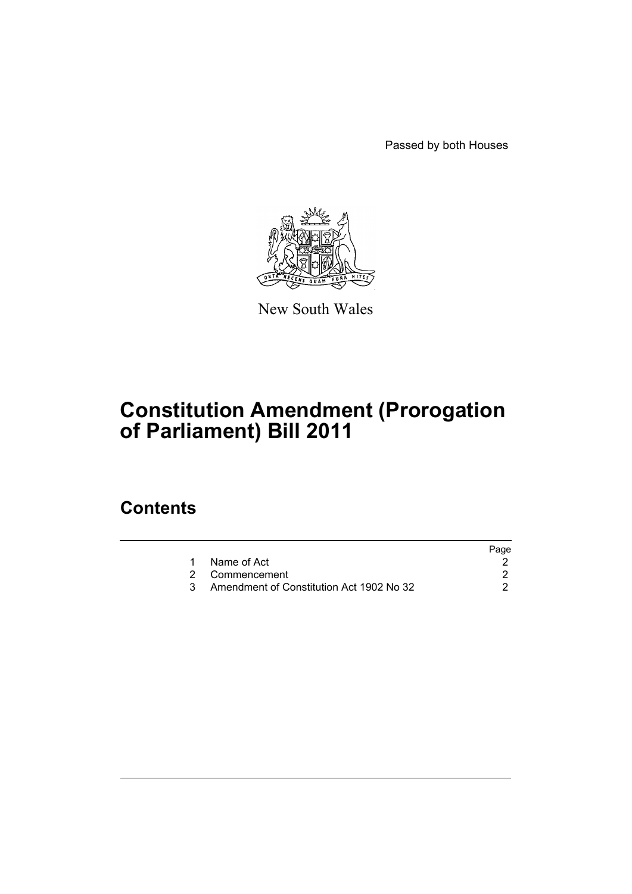Passed by both Houses



New South Wales

# **Constitution Amendment (Prorogation of Parliament) Bill 2011**

### **Contents**

| Page                                     |
|------------------------------------------|
|                                          |
|                                          |
| Amendment of Constitution Act 1902 No 32 |
|                                          |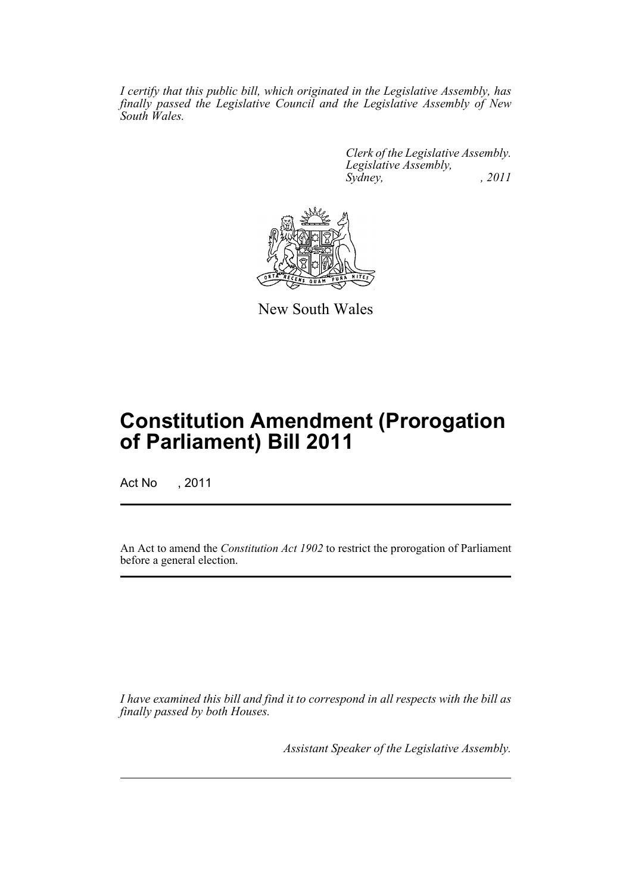*I certify that this public bill, which originated in the Legislative Assembly, has finally passed the Legislative Council and the Legislative Assembly of New South Wales.*

> *Clerk of the Legislative Assembly. Legislative Assembly, Sydney, , 2011*



New South Wales

## **Constitution Amendment (Prorogation of Parliament) Bill 2011**

Act No , 2011

An Act to amend the *Constitution Act 1902* to restrict the prorogation of Parliament before a general election.

*I have examined this bill and find it to correspond in all respects with the bill as finally passed by both Houses.*

*Assistant Speaker of the Legislative Assembly.*